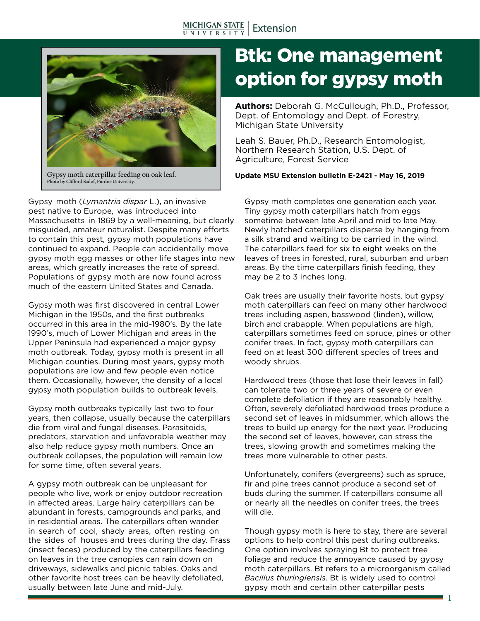

**Photo by Clifford Sadof, Purdue University.**

Gypsy moth (*Lymantria dispar* L.), an invasive pest native to Europe, was introduced into Massachusetts in 1869 by a well-meaning, but clearly misguided, amateur naturalist. Despite many efforts to contain this pest, gypsy moth populations have continued to expand. People can accidentally move gypsy moth egg masses or other life stages into new areas, which greatly increases the rate of spread. Populations of gypsy moth are now found across much of the eastern United States and Canada.

Gypsy moth was first discovered in central Lower Michigan in the 1950s, and the first outbreaks occurred in this area in the mid-1980's. By the late 1990's, much of Lower Michigan and areas in the Upper Peninsula had experienced a major gypsy moth outbreak. Today, gypsy moth is present in all Michigan counties. During most years, gypsy moth populations are low and few people even notice them. Occasionally, however, the density of a local gypsy moth population builds to outbreak levels.

Gypsy moth outbreaks typically last two to four years, then collapse, usually because the caterpillars die from viral and fungal diseases. Parasitoids, predators, starvation and unfavorable weather may also help reduce gypsy moth numbers. Once an outbreak collapses, the population will remain low for some time, often several years.

A gypsy moth outbreak can be unpleasant for people who live, work or enjoy outdoor recreation in affected areas. Large hairy caterpillars can be abundant in forests, campgrounds and parks, and in residential areas. The caterpillars often wander in search of cool, shady areas, often resting on the sides of houses and trees during the day. Frass (insect feces) produced by the caterpillars feeding on leaves in the tree canopies can rain down on driveways, sidewalks and picnic tables. Oaks and other favorite host trees can be heavily defoliated, usually between late June and mid-July.

# Btk: One management option for gypsy moth

**Authors:** Deborah G. McCullough, Ph.D., Professor, Dept. of Entomology and Dept. of Forestry, Michigan State University

Leah S. Bauer, Ph.D., Research Entomologist, Northern Research Station, U.S. Dept. of Agriculture, Forest Service

**Gypsy moth caterpillar feeding on oak leaf. Update MSU Extension bulletin E-2421 - May 16, 2019**

Gypsy moth completes one generation each year. Tiny gypsy moth caterpillars hatch from eggs sometime between late April and mid to late May. Newly hatched caterpillars disperse by hanging from a silk strand and waiting to be carried in the wind. The caterpillars feed for six to eight weeks on the leaves of trees in forested, rural, suburban and urban areas. By the time caterpillars finish feeding, they may be 2 to 3 inches long.

Oak trees are usually their favorite hosts, but gypsy moth caterpillars can feed on many other hardwood trees including aspen, basswood (linden), willow, birch and crabapple. When populations are high, caterpillars sometimes feed on spruce, pines or other conifer trees. In fact, gypsy moth caterpillars can feed on at least 300 different species of trees and woody shrubs.

Hardwood trees (those that lose their leaves in fall) can tolerate two or three years of severe or even complete defoliation if they are reasonably healthy. Often, severely defoliated hardwood trees produce a second set of leaves in midsummer, which allows the trees to build up energy for the next year. Producing the second set of leaves, however, can stress the trees, slowing growth and sometimes making the trees more vulnerable to other pests.

Unfortunately, conifers (evergreens) such as spruce, fir and pine trees cannot produce a second set of buds during the summer. If caterpillars consume all or nearly all the needles on conifer trees, the trees will die.

Though gypsy moth is here to stay, there are several options to help control this pest during outbreaks. One option involves spraying Bt to protect tree foliage and reduce the annoyance caused by gypsy moth caterpillars. Bt refers to a microorganism called *Bacillus thuringiensis*. Bt is widely used to control gypsy moth and certain other caterpillar pests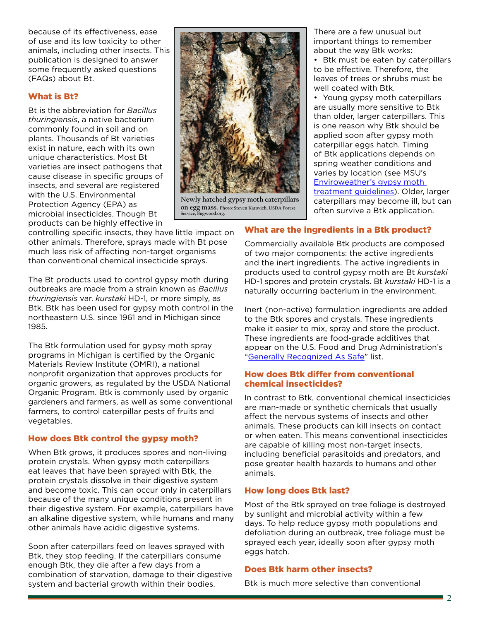because of its effectiveness, ease of use and its low toxicity to other animals, including other insects. This publication is designed to answer some frequently asked questions (FAQs) about Bt.

#### What is Bt?

Bt is the abbreviation for *Bacillus thuringiensis*, a native bacterium commonly found in soil and on plants. Thousands of Bt varieties exist in nature, each with its own unique characteristics. Most Bt varieties are insect pathogens that cause disease in specific groups of insects, and several are registered with the U.S. Environmental Protection Agency (EPA) as microbial insecticides. Though Bt products can be highly effective in



**Newly hatched gypsy moth caterpillars on egg mass. Photo: Steven Katovich, USDA Forest Service, Bugwood.org.**

There are a few unusual but important things to remember about the way Btk works:

• Btk must be eaten by caterpillars to be effective. Therefore, the leaves of trees or shrubs must be well coated with Btk.

• Young gypsy moth caterpillars are usually more sensitive to Btk than older, larger caterpillars. This is one reason why Btk should be applied soon after gypsy moth caterpillar eggs hatch. Timing of Btk applications depends on spring weather conditions and varies by location (see MSU's [Enviroweather's gypsy moth](https://enviroweather.msu.edu/run.php?stn=msu&mod=c_gm&da1=2&mo1=10&da2=2&mo2=10&yr=2018&mc=186&ds=cd)  [treatment guidelines\)](https://enviroweather.msu.edu/run.php?stn=msu&mod=c_gm&da1=2&mo1=10&da2=2&mo2=10&yr=2018&mc=186&ds=cd). Older, larger caterpillars may become ill, but can often survive a Btk application.

controlling specific insects, they have little impact on other animals. Therefore, sprays made with Bt pose much less risk of affecting non-target organisms than conventional chemical insecticide sprays.

The Bt products used to control gypsy moth during outbreaks are made from a strain known as *Bacillus thuringiensis* var. *kurstaki* HD-1, or more simply, as Btk. Btk has been used for gypsy moth control in the northeastern U.S. since 1961 and in Michigan since 1985.

The Btk formulation used for gypsy moth spray programs in Michigan is certified by the Organic Materials Review Institute (OMRI), a national nonprofit organization that approves products for organic growers, as regulated by the USDA National Organic Program. Btk is commonly used by organic gardeners and farmers, as well as some conventional farmers, to control caterpillar pests of fruits and vegetables.

## How does Btk control the gypsy moth?

When Btk grows, it produces spores and non-living protein crystals. When gypsy moth caterpillars eat leaves that have been sprayed with Btk, the protein crystals dissolve in their digestive system and become toxic. This can occur only in caterpillars because of the many unique conditions present in their digestive system. For example, caterpillars have an alkaline digestive system, while humans and many other animals have acidic digestive systems.

Soon after caterpillars feed on leaves sprayed with Btk, they stop feeding. If the caterpillars consume enough Btk, they die after a few days from a combination of starvation, damage to their digestive system and bacterial growth within their bodies.

# What are the ingredients in a Btk product?

Commercially available Btk products are composed of two major components: the active ingredients and the inert ingredients. The active ingredients in products used to control gypsy moth are Bt *kurstaki* HD-1 spores and protein crystals. Bt *kurstaki* HD-1 is a naturally occurring bacterium in the environment.

Inert (non-active) formulation ingredients are added to the Btk spores and crystals. These ingredients make it easier to mix, spray and store the product. These ingredients are food-grade additives that appear on the U.S. Food and Drug Administration's ["Generally Recognized As Safe](https://www.fda.gov/food/ingredientspackaginglabeling/gras/)" list.

#### How does Btk differ from conventional chemical insecticides?

In contrast to Btk, conventional chemical insecticides are man-made or synthetic chemicals that usually affect the nervous systems of insects and other animals. These products can kill insects on contact or when eaten. This means conventional insecticides are capable of killing most non-target insects, including beneficial parasitoids and predators, and pose greater health hazards to humans and other animals.

## How long does Btk last?

Most of the Btk sprayed on tree foliage is destroyed by sunlight and microbial activity within a few days. To help reduce gypsy moth populations and defoliation during an outbreak, tree foliage must be sprayed each year, ideally soon after gypsy moth eggs hatch.

#### Does Btk harm other insects?

Btk is much more selective than conventional